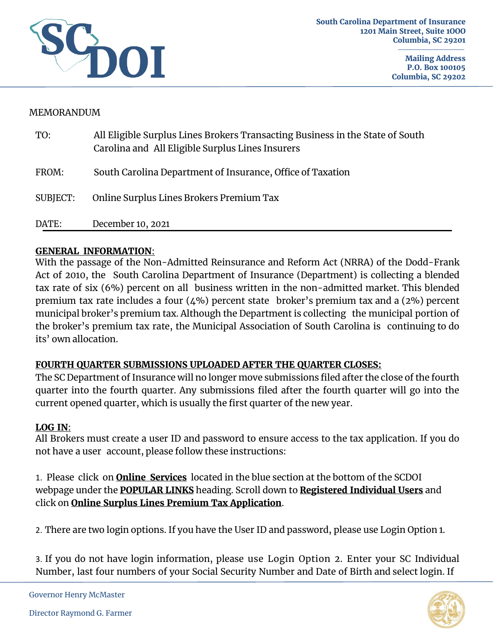

#### MEMORANDUM

| TO:      | All Eligible Surplus Lines Brokers Transacting Business in the State of South<br>Carolina and All Eligible Surplus Lines Insurers |
|----------|-----------------------------------------------------------------------------------------------------------------------------------|
| FROM:    | South Carolina Department of Insurance, Office of Taxation                                                                        |
| SUBJECT: | Online Surplus Lines Brokers Premium Tax                                                                                          |
| DATE:    | December 10, 2021                                                                                                                 |

#### **GENERAL INFORMATION**:

With the passage of the Non-Admitted Reinsurance and Reform Act (NRRA) of the Dodd-Frank Act of 2010, the South Carolina Department of Insurance (Department) is collecting a blended tax rate of six (6%) percent on all business written in the non-admitted market. This blended premium tax rate includes a four (4%) percent state broker's premium tax and a (2%) percent municipal broker's premium tax. Although the Department is collecting the municipal portion of the broker's premium tax rate, the Municipal Association of South Carolina is continuing to do its' own allocation.

#### **FOURTH QUARTER SUBMISSIONS UPLOADED AFTER THE QUARTER CLOSES:**

The SC Department of Insurance will no longer move submissions filed after the close of the fourth quarter into the fourth quarter. Any submissions filed after the fourth quarter will go into the current opened quarter, which is usually the first quarter of the new year.

#### **LOG IN**:

All Brokers must create a user ID and password to ensure access to the tax application. If you do not have a user account, please follow these instructions:

1. Please click on **Online Services** located in the blue section at the bottom of the SCDOI webpage under the **POPULAR LINKS** heading. Scroll down to **Registered Individual Users** and click on **Online Surplus Lines Premium Tax Application**.

2. There are two login options. If you have the User ID and password, please use Login Option 1.

3. If you do not have login information, please use Login Option 2. Enter your SC Individual Number, last four numbers of your Social Security Number and Date of Birth and select login. If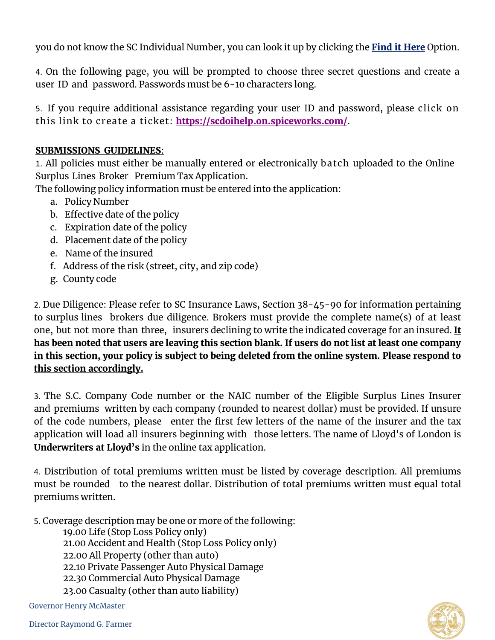you do not know the SC Individual Number, you can look it up by clicking the **Find it Here** Option.

4. On the following page, you will be prompted to choose three secret questions and create a user ID and password. Passwords must be 6-10 characters long.

5. If you require additional assistance regarding your user ID and password, please click on this link to create a ticket: **<https://scdoihelp.on.spiceworks.com/>**.

#### **SUBMISSIONS GUIDELINES**:

1. All policies must either be manually entered or electronically batch uploaded to the Online Surplus Lines Broker Premium Tax Application.

The following policy information must be entered into the application:

- a. Policy Number
- b. Effective date of the policy
- c. Expiration date of the policy
- d. Placement date of the policy
- e. Name of the insured
- f. Address of the risk (street, city, and zip code)
- g. County code

2. Due Diligence: Please refer to SC Insurance Laws, Section 38-45-90 for information pertaining to surplus lines brokers due diligence. Brokers must provide the complete name(s) of at least one, but not more than three, insurers declining to write the indicated coverage for an insured. **It has been noted that users are leaving this section blank. If users do not list at least one company in this section, your policy is subject to being deleted from the online system. Please respond to this section accordingly.**

3. The S.C. Company Code number or the NAIC number of the Eligible Surplus Lines Insurer and premiums written by each company (rounded to nearest dollar) must be provided. If unsure of the code numbers, please enter the first few letters of the name of the insurer and the tax application will load all insurers beginning with those letters. The name of Lloyd's of London is **Underwriters at Lloyd's** in the online tax application.

4. Distribution of total premiums written must be listed by coverage description. All premiums must be rounded to the nearest dollar. Distribution of total premiums written must equal total premiums written.

5. Coverage description may be one or more of the following:

19.00 Life (Stop Loss Policy only) 21.00 Accident and Health (Stop Loss Policy only) 22.00 All Property (other than auto) 22.10 Private Passenger Auto Physical Damage 22.30 Commercial Auto Physical Damage 23.00 Casualty (other than auto liability)

Governor Henry McMaster

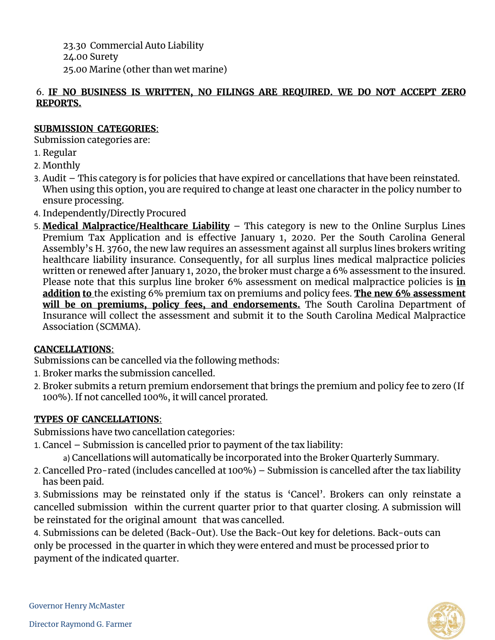23.30 Commercial Auto Liability 24.00 Surety 25.00 Marine (other than wet marine)

### 6. **IF NO BUSINESS IS WRITTEN, NO FILINGS ARE REQUIRED. WE DO NOT ACCEPT ZERO REPORTS.**

# **SUBMISSION CATEGORIES**:

Submission categories are:

- 1. Regular
- 2. Monthly
- 3. Audit This category is for policies that have expired or cancellations that have been reinstated. When using this option, you are required to change at least one character in the policy number to ensure processing.
- 4. Independently/Directly Procured
- 5. **Medical Malpractice/Healthcare Liability** This category is new to the Online Surplus Lines Premium Tax Application and is effective January 1, 2020. Per the South Carolina General Assembly's H. 3760, the new law requires an assessment against all surplus lines brokers writing healthcare liability insurance. Consequently, for all surplus lines medical malpractice policies written or renewed after January 1, 2020, the broker must charge a 6% assessment to the insured. Please note that this surplus line broker 6% assessment on medical malpractice policies is **in addition to** the existing 6% premium tax on premiums and policy fees. **The new 6% assessment will be on premiums, policy fees, and endorsements.** The South Carolina Department of Insurance will collect the assessment and submit it to the South Carolina Medical Malpractice Association (SCMMA).

#### **CANCELLATIONS**:

Submissions can be cancelled via the following methods:

- 1. Broker marks the submission cancelled.
- 2. Broker submits a return premium endorsement that brings the premium and policy fee to zero (If 100%). If not cancelled 100%, it will cancel prorated.

# **TYPES OF CANCELLATIONS**:

Submissions have two cancellation categories:

1. Cancel – Submission is cancelled prior to payment of the tax liability:

a) Cancellations will automatically be incorporated into the Broker Quarterly Summary.

2. Cancelled Pro-rated (includes cancelled at 100%) – Submission is cancelled after the tax liability has been paid.

3. Submissions may be reinstated only if the status is 'Cancel'. Brokers can only reinstate a cancelled submission within the current quarter prior to that quarter closing. A submission will be reinstated for the original amount that was cancelled.

4. Submissions can be deleted (Back-Out). Use the Back-Out key for deletions. Back-outs can only be processed in the quarter in which they were entered and must be processed prior to payment of the indicated quarter.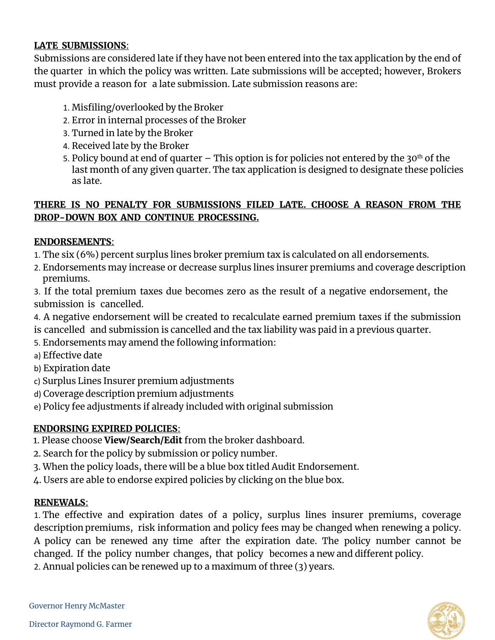#### **LATE SUBMISSIONS**:

Submissions are considered late if they have not been entered into the tax application by the end of the quarter in which the policy was written. Late submissions will be accepted; however, Brokers must provide a reason for a late submission. Late submission reasons are:

- 1. Misfiling/overlooked by the Broker
- 2. Error in internal processes of the Broker
- 3. Turned in late by the Broker
- 4. Received late by the Broker
- 5. Policy bound at end of quarter  $-$  This option is for policies not entered by the 30<sup>th</sup> of the last month of any given quarter. The tax application is designed to designate these policies as late.

### **THERE IS NO PENALTY FOR SUBMISSIONS FILED LATE. CHOOSE A REASON FROM THE DROP-DOWN BOX AND CONTINUE PROCESSING.**

# **ENDORSEMENTS**:

- 1. The six (6%) percent surplus lines broker premium tax is calculated on all endorsements.
- 2. Endorsements may increase or decrease surplus lines insurer premiums and coverage description premiums.

3. If the total premium taxes due becomes zero as the result of a negative endorsement, the submission is cancelled.

- 4. A negative endorsement will be created to recalculate earned premium taxes if the submission
- is cancelled and submission is cancelled and the tax liability was paid in a previous quarter.
- 5. Endorsements may amend the following information:
- a) Effective date
- b) Expiration date
- c) Surplus Lines Insurer premium adjustments
- d) Coverage description premium adjustments
- e) Policy fee adjustments if already included with original submission

# **ENDORSING EXPIRED POLICIES**:

- 1. Please choose **View/Search/Edit** from the broker dashboard.
- 2. Search for the policy by submission or policy number.
- 3. When the policy loads, there will be a blue box titled Audit Endorsement.
- 4. Users are able to endorse expired policies by clicking on the blue box.

# **RENEWALS**:

1. The effective and expiration dates of a policy, surplus lines insurer premiums, coverage description premiums, risk information and policy fees may be changed when renewing a policy. A policy can be renewed any time after the expiration date. The policy number cannot be changed. If the policy number changes, that policy becomes a new and different policy.

2. Annual policies can be renewed up to a maximum of three (3) years.

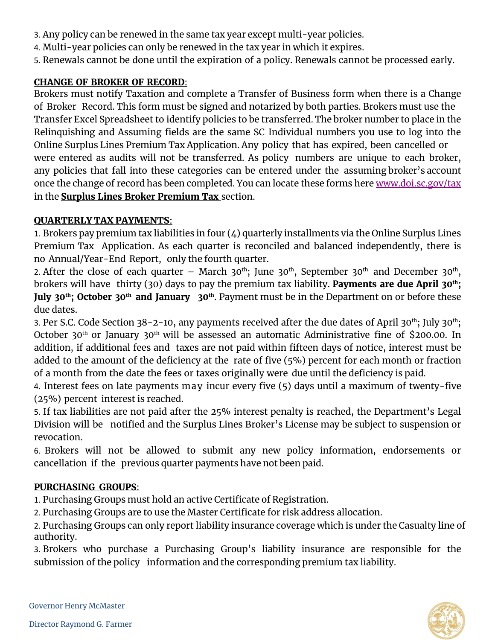- 3. Any policy can be renewed in the same tax year except multi-year policies.
- 4. Multi-year policies can only be renewed in the tax year in which it expires.
- 5. Renewals cannot be done until the expiration of a policy. Renewals cannot be processed early.

# **CHANGE OF BROKER OF RECORD**:

Brokers must notify Taxation and complete a Transfer of Business form when there is a Change of Broker Record. This form must be signed and notarized by both parties. Brokers must use the Transfer Excel Spreadsheet to identify policies to be transferred. The broker number to place in the Relinquishing and Assuming fields are the same SC Individual numbers you use to log into the Online Surplus Lines Premium Tax Application. Any policy that has expired, been cancelled or were entered as audits will not be transferred. As policy numbers are unique to each broker, any policies that fall into these categories can be entered under the assuming broker's account once the change of record has been completed. You can locate these forms here [www.doi.sc.gov/tax](http://www.doi.sc.gov/tax) in the **Surplus Lines Broker Premium Tax** section.

# **QUARTERLY TAX PAYMENTS**:

1. Brokers pay premium tax liabilities in four (4) quarterly installments via the Online Surplus Lines Premium Tax Application. As each quarter is reconciled and balanced independently, there is no Annual/Year-End Report, only the fourth quarter.

2. After the close of each quarter – March 30<sup>th</sup>; June 30<sup>th</sup>, September 30<sup>th</sup> and December 30<sup>th</sup>, brokers will have thirty (30) days to pay the premium tax liability. **Payments are due April 30th; July 30th; October 30th and January 30th**. Payment must be in the Department on or before these due dates.

3. Per S.C. Code Section  $38$ -2-10, any payments received after the due dates of April  $30<sup>th</sup>$ ; July  $30<sup>th</sup>$ ; October 30<sup>th</sup> or January 30<sup>th</sup> will be assessed an automatic Administrative fine of \$200.00. In addition, if additional fees and taxes are not paid within fifteen days of notice, interest must be added to the amount of the deficiency at the rate of five (5%) percent for each month or fraction of a month from the date the fees or taxes originally were due until the deficiency is paid.

4. Interest fees on late payments may incur every five (5) days until a maximum of twenty-five (25%) percent interest is reached.

5. If tax liabilities are not paid after the 25% interest penalty is reached, the Department's Legal Division will be notified and the Surplus Lines Broker's License may be subject to suspension or revocation.

6. Brokers will not be allowed to submit any new policy information, endorsements or cancellation if the previous quarter payments have not been paid.

# **PURCHASING GROUPS**:

1. Purchasing Groups must hold an active Certificate of Registration.

2. Purchasing Groups are to use the Master Certificate for risk address allocation.

2. Purchasing Groups can only report liability insurance coverage which is under the Casualty line of authority.

3. Brokers who purchase a Purchasing Group's liability insurance are responsible for the submission of the policy information and the corresponding premium tax liability.